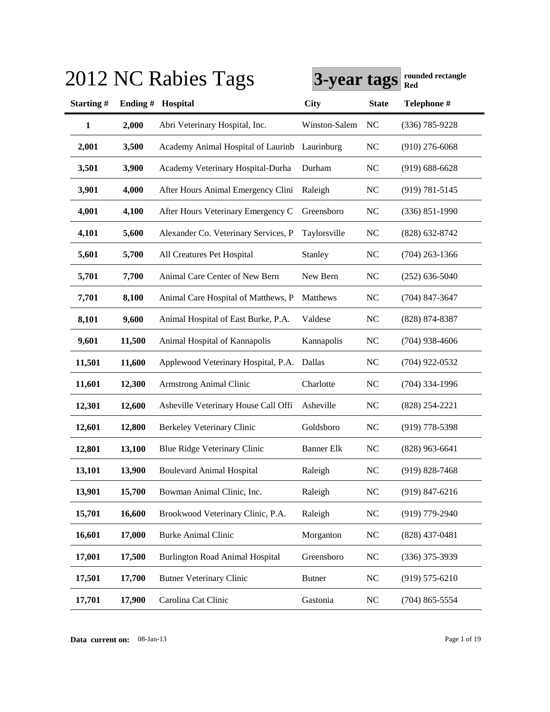|              |            | 2012 NC Rabies Tags                    | 3-year tags       |              | rounded rectangle<br><b>Red</b> |
|--------------|------------|----------------------------------------|-------------------|--------------|---------------------------------|
| Starting#    | Ending $#$ | <b>Hospital</b>                        | City              | <b>State</b> | Telephone #                     |
| $\mathbf{1}$ | 2,000      | Abri Veterinary Hospital, Inc.         | Winston-Salem     | NC           | $(336) 785 - 9228$              |
| 2,001        | 3,500      | Academy Animal Hospital of Laurinb     | Laurinburg        | <b>NC</b>    | $(910)$ 276-6068                |
| 3,501        | 3,900      | Academy Veterinary Hospital-Durha      | Durham            | NC           | $(919) 688 - 6628$              |
| 3,901        | 4,000      | After Hours Animal Emergency Clini     | Raleigh           | NC           | $(919) 781 - 5145$              |
| 4,001        | 4,100      | After Hours Veterinary Emergency C     | Greensboro        | <b>NC</b>    | $(336) 851 - 1990$              |
| 4,101        | 5,600      | Alexander Co. Veterinary Services, P   | Taylorsville      | <b>NC</b>    | (828) 632-8742                  |
| 5,601        | 5,700      | All Creatures Pet Hospital             | Stanley           | <b>NC</b>    | $(704)$ 263-1366                |
| 5,701        | 7,700      | Animal Care Center of New Bern         | New Bern          | <b>NC</b>    | $(252) 636 - 5040$              |
| 7,701        | 8,100      | Animal Care Hospital of Matthews, P    | Matthews          | <b>NC</b>    | $(704)$ 847-3647                |
| 8,101        | 9,600      | Animal Hospital of East Burke, P.A.    | Valdese           | NC           | (828) 874-8387                  |
| 9,601        | 11,500     | Animal Hospital of Kannapolis          | Kannapolis        | NC           | $(704)$ 938-4606                |
| 11,501       | 11,600     | Applewood Veterinary Hospital, P.A.    | Dallas            | <b>NC</b>    | $(704)$ 922-0532                |
| 11,601       | 12,300     | Armstrong Animal Clinic                | Charlotte         | <b>NC</b>    | $(704)$ 334-1996                |
| 12,301       | 12,600     | Asheville Veterinary House Call Offi   | Asheville         | <b>NC</b>    | $(828)$ 254-2221                |
| 12,601       | 12,800     | <b>Berkeley Veterinary Clinic</b>      | Goldsboro         | <b>NC</b>    | $(919)$ 778-5398                |
| 12,801       | 13,100     | Blue Ridge Veterinary Clinic           | <b>Banner Elk</b> | <b>NC</b>    | $(828)$ 963-6641                |
| 13,101       | 13,900     | <b>Boulevard Animal Hospital</b>       | Raleigh           | <b>NC</b>    | $(919) 828 - 7468$              |
| 13,901       | 15,700     | Bowman Animal Clinic, Inc.             | Raleigh           | NC           | $(919) 847 - 6216$              |
| 15,701       | 16,600     | Brookwood Veterinary Clinic, P.A.      | Raleigh           | NC           | $(919)$ 779-2940                |
| 16,601       | 17,000     | <b>Burke Animal Clinic</b>             | Morganton         | NC           | $(828)$ 437-0481                |
| 17,001       | 17,500     | <b>Burlington Road Animal Hospital</b> | Greensboro        | NC           | $(336)$ 375-3939                |
| 17,501       | 17,700     | <b>Butner Veterinary Clinic</b>        | <b>Butner</b>     | <b>NC</b>    | $(919) 575 - 6210$              |
| 17,701       | 17,900     | Carolina Cat Clinic                    | Gastonia          | NC           | $(704)$ 865-5554                |

### **3013 NC R**<sub>a</sub>lies T<sub>ag</sub>s **Red**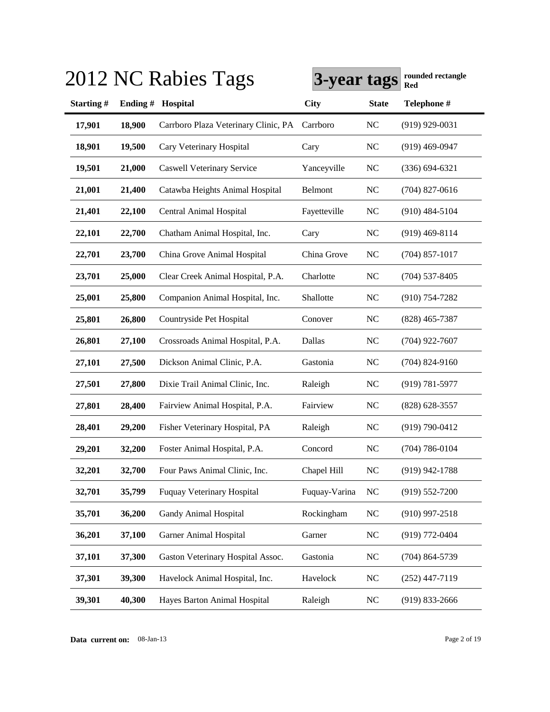|           |         | 2012 NC Rabies Tags                  | 3-year tags   |              | rounded rectangle<br>Red |
|-----------|---------|--------------------------------------|---------------|--------------|--------------------------|
| Starting# | Ending# | Hospital                             | <b>City</b>   | <b>State</b> | Telephone #              |
| 17,901    | 18,900  | Carrboro Plaza Veterinary Clinic, PA | Carrboro      | <b>NC</b>    | $(919)$ 929-0031         |
| 18,901    | 19,500  | Cary Veterinary Hospital             | Cary          | <b>NC</b>    | $(919)$ 469-0947         |
| 19,501    | 21,000  | <b>Caswell Veterinary Service</b>    | Yanceyville   | <b>NC</b>    | $(336) 694 - 6321$       |
| 21,001    | 21,400  | Catawba Heights Animal Hospital      | Belmont       | <b>NC</b>    | $(704)$ 827-0616         |
| 21,401    | 22,100  | Central Animal Hospital              | Fayetteville  | <b>NC</b>    | $(910)$ 484-5104         |
| 22,101    | 22,700  | Chatham Animal Hospital, Inc.        | Cary          | <b>NC</b>    | $(919)$ 469-8114         |
| 22,701    | 23,700  | China Grove Animal Hospital          | China Grove   | <b>NC</b>    | $(704)$ 857-1017         |
| 23,701    | 25,000  | Clear Creek Animal Hospital, P.A.    | Charlotte     | <b>NC</b>    | $(704)$ 537-8405         |
| 25,001    | 25,800  | Companion Animal Hospital, Inc.      | Shallotte     | <b>NC</b>    | $(910)$ 754-7282         |
| 25,801    | 26,800  | Countryside Pet Hospital             | Conover       | <b>NC</b>    | $(828)$ 465-7387         |
| 26,801    | 27,100  | Crossroads Animal Hospital, P.A.     | Dallas        | <b>NC</b>    | $(704)$ 922-7607         |
| 27,101    | 27,500  | Dickson Animal Clinic, P.A.          | Gastonia      | <b>NC</b>    | $(704)$ 824-9160         |
| 27,501    | 27,800  | Dixie Trail Animal Clinic, Inc.      | Raleigh       | <b>NC</b>    | $(919) 781 - 5977$       |
| 27,801    | 28,400  | Fairview Animal Hospital, P.A.       | Fairview      | <b>NC</b>    | $(828) 628 - 3557$       |
| 28,401    | 29,200  | Fisher Veterinary Hospital, PA       | Raleigh       | <b>NC</b>    | $(919) 790 - 0412$       |
| 29,201    | 32,200  | Foster Animal Hospital, P.A.         | Concord       | <b>NC</b>    | $(704) 786 - 0104$       |
| 32,201    | 32,700  | Four Paws Animal Clinic, Inc.        | Chapel Hill   | NC           | $(919)$ 942-1788         |
| 32,701    | 35,799  | <b>Fuquay Veterinary Hospital</b>    | Fuquay-Varina | <b>NC</b>    | $(919) 552 - 7200$       |
| 35,701    | 36,200  | Gandy Animal Hospital                | Rockingham    | NC           | $(910)$ 997-2518         |
| 36,201    | 37,100  | <b>Garner Animal Hospital</b>        | Garner        | <b>NC</b>    | (919) 772-0404           |
| 37,101    | 37,300  | Gaston Veterinary Hospital Assoc.    | Gastonia      | <b>NC</b>    | $(704) 864 - 5739$       |
| 37,301    | 39,300  | Havelock Animal Hospital, Inc.       | Havelock      | <b>NC</b>    | $(252)$ 447-7119         |
| 39,301    | 40,300  | Hayes Barton Animal Hospital         | Raleigh       | <b>NC</b>    | $(919) 833 - 2666$       |

**Data current on:** 08-Jan-13 Page 2 of 19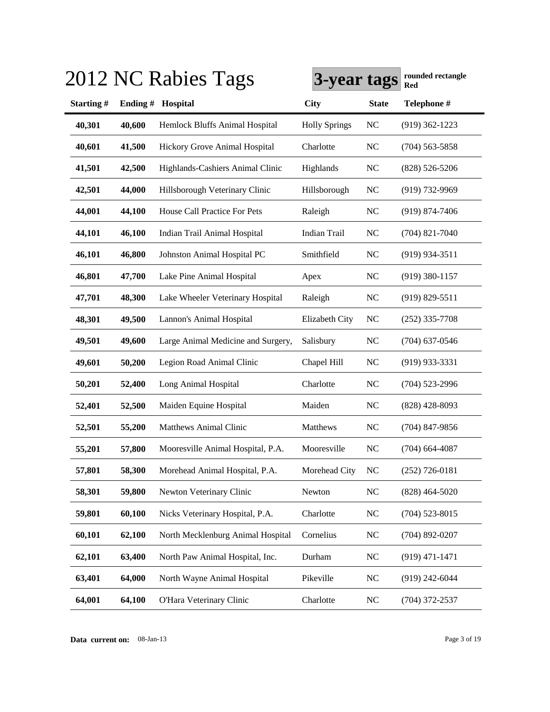|           |         | 2012 NC Rabies Tags                | 3-year tags          |              | rounded rectangle<br>Red |
|-----------|---------|------------------------------------|----------------------|--------------|--------------------------|
| Starting# | Ending# | Hospital                           | <b>City</b>          | <b>State</b> | Telephone #              |
| 40,301    | 40,600  | Hemlock Bluffs Animal Hospital     | <b>Holly Springs</b> | <b>NC</b>    | $(919)$ 362-1223         |
| 40,601    | 41,500  | Hickory Grove Animal Hospital      | Charlotte            | <b>NC</b>    | $(704)$ 563-5858         |
| 41,501    | 42,500  | Highlands-Cashiers Animal Clinic   | Highlands            | <b>NC</b>    | $(828) 526 - 5206$       |
| 42,501    | 44,000  | Hillsborough Veterinary Clinic     | Hillsborough         | <b>NC</b>    | $(919) 732 - 9969$       |
| 44,001    | 44,100  | House Call Practice For Pets       | Raleigh              | <b>NC</b>    | $(919) 874 - 7406$       |
| 44,101    | 46,100  | Indian Trail Animal Hospital       | Indian Trail         | NC           | $(704)$ 821-7040         |
| 46,101    | 46,800  | Johnston Animal Hospital PC        | Smithfield           | <b>NC</b>    | $(919)$ 934-3511         |
| 46,801    | 47,700  | Lake Pine Animal Hospital          | Apex                 | <b>NC</b>    | $(919)$ 380-1157         |
| 47,701    | 48,300  | Lake Wheeler Veterinary Hospital   | Raleigh              | <b>NC</b>    | $(919) 829 - 5511$       |
| 48,301    | 49,500  | Lannon's Animal Hospital           | Elizabeth City       | <b>NC</b>    | $(252)$ 335-7708         |
| 49,501    | 49,600  | Large Animal Medicine and Surgery, | Salisbury            | <b>NC</b>    | $(704)$ 637-0546         |
| 49,601    | 50,200  | Legion Road Animal Clinic          | Chapel Hill          | <b>NC</b>    | $(919)$ 933-3331         |
| 50,201    | 52,400  | Long Animal Hospital               | Charlotte            | <b>NC</b>    | $(704)$ 523-2996         |
| 52,401    | 52,500  | Maiden Equine Hospital             | Maiden               | <b>NC</b>    | $(828)$ 428-8093         |
| 52,501    | 55,200  | Matthews Animal Clinic             | Matthews             | <b>NC</b>    | $(704)$ 847-9856         |
| 55,201    | 57,800  | Mooresville Animal Hospital, P.A.  | Mooresville          | <b>NC</b>    | $(704)$ 664-4087         |
| 57,801    | 58,300  | Morehead Animal Hospital, P.A.     | Morehead City        | NC           | $(252)$ 726-0181         |
| 58,301    | 59,800  | Newton Veterinary Clinic           | Newton               | NC           | $(828)$ 464-5020         |
| 59,801    | 60,100  | Nicks Veterinary Hospital, P.A.    | Charlotte            | <b>NC</b>    | $(704)$ 523-8015         |
| 60,101    | 62,100  | North Mecklenburg Animal Hospital  | Cornelius            | <b>NC</b>    | $(704)$ 892-0207         |
| 62,101    | 63,400  | North Paw Animal Hospital, Inc.    | Durham               | <b>NC</b>    | $(919)$ 471-1471         |
| 63,401    | 64,000  | North Wayne Animal Hospital        | Pikeville            | <b>NC</b>    | $(919)$ 242-6044         |
| 64,001    | 64,100  | O'Hara Veterinary Clinic           | Charlotte            | <b>NC</b>    | $(704)$ 372-2537         |

**Data current on:** 08-Jan-13 Page 3 of 19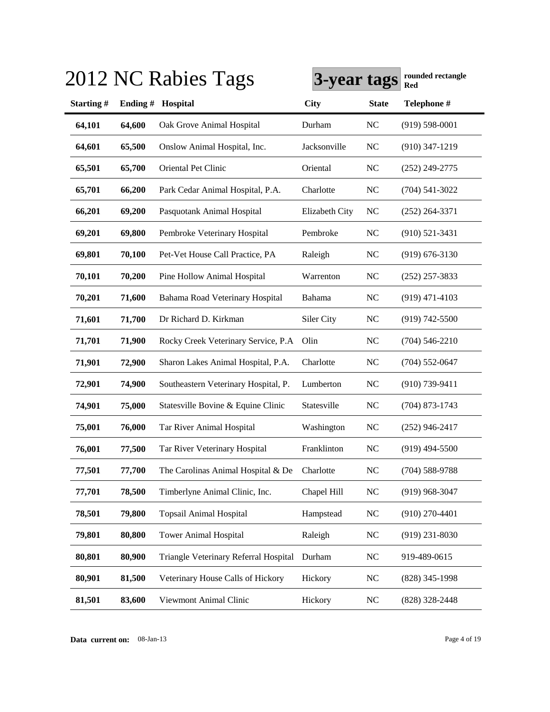|           |         | 2012 NC Rabies Tags                   | 3-year tags    |              | rounded rectangle<br>Red |
|-----------|---------|---------------------------------------|----------------|--------------|--------------------------|
| Starting# | Ending# | Hospital                              | <b>City</b>    | <b>State</b> | Telephone #              |
| 64,101    | 64,600  | Oak Grove Animal Hospital             | Durham         | NC           | $(919) 598 - 0001$       |
| 64,601    | 65,500  | Onslow Animal Hospital, Inc.          | Jacksonville   | NC           | $(910)$ 347-1219         |
| 65,501    | 65,700  | Oriental Pet Clinic                   | Oriental       | NC           | $(252)$ 249-2775         |
| 65,701    | 66,200  | Park Cedar Animal Hospital, P.A.      | Charlotte      | NC           | $(704) 541 - 3022$       |
| 66,201    | 69,200  | Pasquotank Animal Hospital            | Elizabeth City | NC           | $(252)$ 264-3371         |
| 69,201    | 69,800  | Pembroke Veterinary Hospital          | Pembroke       | NC           | $(910)$ 521-3431         |
| 69,801    | 70,100  | Pet-Vet House Call Practice, PA       | Raleigh        | NC           | $(919) 676 - 3130$       |
| 70,101    | 70,200  | Pine Hollow Animal Hospital           | Warrenton      | NC           | $(252)$ 257-3833         |
| 70,201    | 71,600  | Bahama Road Veterinary Hospital       | Bahama         | NC           | $(919)$ 471-4103         |
| 71,601    | 71,700  | Dr Richard D. Kirkman                 | Siler City     | NC           | $(919) 742 - 5500$       |
| 71,701    | 71,900  | Rocky Creek Veterinary Service, P.A   | Olin           | NC           | $(704) 546 - 2210$       |
| 71,901    | 72,900  | Sharon Lakes Animal Hospital, P.A.    | Charlotte      | <b>NC</b>    | $(704)$ 552-0647         |
| 72,901    | 74,900  | Southeastern Veterinary Hospital, P.  | Lumberton      | <b>NC</b>    | $(910)$ 739-9411         |
| 74,901    | 75,000  | Statesville Bovine & Equine Clinic    | Statesville    | <b>NC</b>    | $(704)$ 873-1743         |
| 75,001    | 76,000  | Tar River Animal Hospital             | Washington     | <b>NC</b>    | $(252)$ 946-2417         |
| 76,001    | 77,500  | Tar River Veterinary Hospital         | Franklinton    | <b>NC</b>    | $(919)$ 494-5500         |
| 77,501    | 77,700  | The Carolinas Animal Hospital & De    | Charlotte      | <b>NC</b>    | $(704) 588 - 9788$       |
| 77,701    | 78,500  | Timberlyne Animal Clinic, Inc.        | Chapel Hill    | NC           | $(919)$ 968-3047         |
| 78,501    | 79,800  | <b>Topsail Animal Hospital</b>        | Hampstead      | <b>NC</b>    | $(910)$ 270-4401         |
| 79,801    | 80,800  | <b>Tower Animal Hospital</b>          | Raleigh        | NC           | $(919)$ 231-8030         |
| 80,801    | 80,900  | Triangle Veterinary Referral Hospital | Durham         | <b>NC</b>    | 919-489-0615             |
| 80,901    | 81,500  | Veterinary House Calls of Hickory     | Hickory        | <b>NC</b>    | (828) 345-1998           |
| 81,501    | 83,600  | Viewmont Animal Clinic                | Hickory        | <b>NC</b>    | (828) 328-2448           |

### $3013$  NC R<sub>a</sub>bies T<sub>ags</sub>  $\overline{R}$

**Data current on:** 08-Jan-13 Page 4 of 19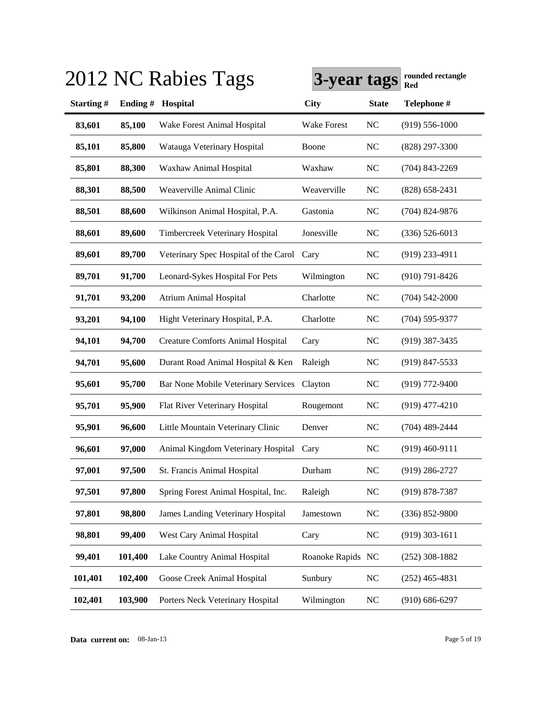|           |         | 2012 NC Rabies Tags                        | 3-year tags        |              | rounded rectangle<br>Red |
|-----------|---------|--------------------------------------------|--------------------|--------------|--------------------------|
| Starting# | Ending# | Hospital                                   | <b>City</b>        | <b>State</b> | Telephone #              |
| 83,601    | 85,100  | Wake Forest Animal Hospital                | <b>Wake Forest</b> | <b>NC</b>    | $(919) 556 - 1000$       |
| 85,101    | 85,800  | Watauga Veterinary Hospital                | Boone              | <b>NC</b>    | $(828)$ 297-3300         |
| 85,801    | 88,300  | Waxhaw Animal Hospital                     | Waxhaw             | <b>NC</b>    | $(704)$ 843-2269         |
| 88,301    | 88,500  | Weaverville Animal Clinic                  | Weaverville        | NC           | $(828) 658 - 2431$       |
| 88,501    | 88,600  | Wilkinson Animal Hospital, P.A.            | Gastonia           | NC           | $(704)$ 824-9876         |
| 88,601    | 89,600  | Timbercreek Veterinary Hospital            | Jonesville         | NC           | $(336) 526 - 6013$       |
| 89,601    | 89,700  | Veterinary Spec Hospital of the Carol Cary |                    | NC           | $(919)$ 233-4911         |
| 89,701    | 91,700  | Leonard-Sykes Hospital For Pets            | Wilmington         | NC           | $(910) 791 - 8426$       |
| 91,701    | 93,200  | <b>Atrium Animal Hospital</b>              | Charlotte          | NC           | $(704) 542 - 2000$       |
| 93,201    | 94,100  | Hight Veterinary Hospital, P.A.            | Charlotte          | NC           | $(704)$ 595-9377         |
| 94,101    | 94,700  | <b>Creature Comforts Animal Hospital</b>   | Cary               | <b>NC</b>    | $(919)$ 387-3435         |
| 94,701    | 95,600  | Durant Road Animal Hospital & Ken          | Raleigh            | <b>NC</b>    | $(919)$ 847-5533         |
| 95,601    | 95,700  | <b>Bar None Mobile Veterinary Services</b> | Clayton            | <b>NC</b>    | $(919)$ 772-9400         |
| 95,701    | 95,900  | Flat River Veterinary Hospital             | Rougemont          | <b>NC</b>    | $(919)$ 477-4210         |
| 95,901    | 96,600  | Little Mountain Veterinary Clinic          | Denver             | <b>NC</b>    | $(704)$ 489-2444         |
| 96,601    | 97,000  | Animal Kingdom Veterinary Hospital         | Cary               | <b>NC</b>    | $(919)$ 460-9111         |
| 97,001    | 97,500  | St. Francis Animal Hospital                | Durham             | NC           | (919) 286-2727           |
| 97,501    | 97,800  | Spring Forest Animal Hospital, Inc.        | Raleigh            | <b>NC</b>    | $(919) 878 - 7387$       |
| 97,801    | 98,800  | <b>James Landing Veterinary Hospital</b>   | Jamestown          | <b>NC</b>    | $(336) 852 - 9800$       |
| 98,801    | 99,400  | West Cary Animal Hospital                  | Cary               | <b>NC</b>    | $(919)$ 303-1611         |
| 99,401    | 101,400 | Lake Country Animal Hospital               | Roanoke Rapids NC  |              | $(252)$ 308-1882         |
| 101,401   | 102,400 | Goose Creek Animal Hospital                | Sunbury            | <b>NC</b>    | $(252)$ 465-4831         |
| 102,401   | 103,900 | Porters Neck Veterinary Hospital           | Wilmington         | <b>NC</b>    | $(910) 686 - 6297$       |

**Data current on:** 08-Jan-13 Page 5 of 19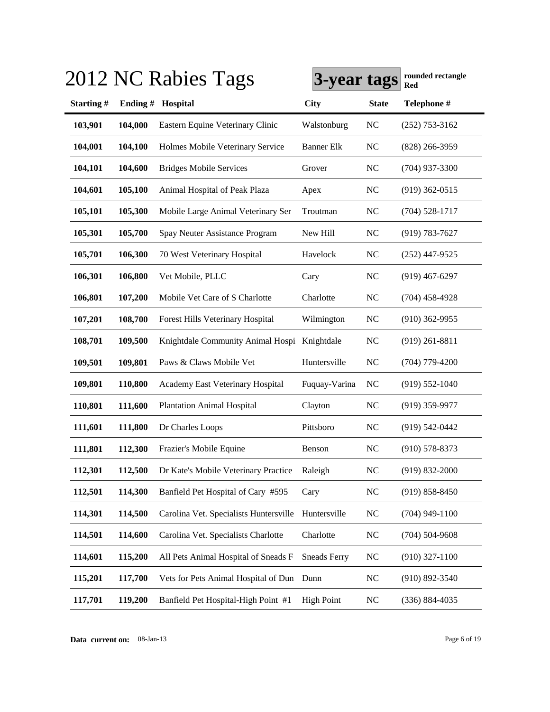|           |         | 2012 NC Rabies Tags                          | 3-year tags         |              | rounded rectangle<br>Red |
|-----------|---------|----------------------------------------------|---------------------|--------------|--------------------------|
| Starting# | Ending# | Hospital                                     | <b>City</b>         | <b>State</b> | Telephone #              |
| 103,901   | 104,000 | Eastern Equine Veterinary Clinic             | Walstonburg         | <b>NC</b>    | $(252)$ 753-3162         |
| 104,001   | 104,100 | Holmes Mobile Veterinary Service             | <b>Banner Elk</b>   | <b>NC</b>    | $(828)$ 266-3959         |
| 104,101   | 104,600 | <b>Bridges Mobile Services</b>               | Grover              | <b>NC</b>    | $(704)$ 937-3300         |
| 104,601   | 105,100 | Animal Hospital of Peak Plaza                | Apex                | <b>NC</b>    | $(919)$ 362-0515         |
| 105,101   | 105,300 | Mobile Large Animal Veterinary Ser           | Troutman            | NC           | $(704)$ 528-1717         |
| 105,301   | 105,700 | Spay Neuter Assistance Program               | New Hill            | NC           | $(919) 783 - 7627$       |
| 105,701   | 106,300 | 70 West Veterinary Hospital                  | Havelock            | <b>NC</b>    | $(252)$ 447-9525         |
| 106,301   | 106,800 | Vet Mobile, PLLC                             | Cary                | <b>NC</b>    | $(919)$ 467-6297         |
| 106,801   | 107,200 | Mobile Vet Care of S Charlotte               | Charlotte           | <b>NC</b>    | $(704)$ 458-4928         |
| 107,201   | 108,700 | Forest Hills Veterinary Hospital             | Wilmington          | <b>NC</b>    | $(910)$ 362-9955         |
| 108,701   | 109,500 | Knightdale Community Animal Hospi Knightdale |                     | <b>NC</b>    | $(919)$ 261-8811         |
| 109,501   | 109,801 | Paws & Claws Mobile Vet                      | Huntersville        | <b>NC</b>    | $(704)$ 779-4200         |
| 109,801   | 110,800 | Academy East Veterinary Hospital             | Fuquay-Varina       | <b>NC</b>    | $(919) 552 - 1040$       |
| 110,801   | 111,600 | <b>Plantation Animal Hospital</b>            | Clayton             | <b>NC</b>    | $(919)$ 359-9977         |
| 111,601   | 111,800 | Dr Charles Loops                             | Pittsboro           | <b>NC</b>    | $(919) 542 - 0442$       |
| 111,801   | 112,300 | Frazier's Mobile Equine                      | Benson              | <b>NC</b>    | $(910)$ 578-8373         |
| 112,301   | 112,500 | Dr Kate's Mobile Veterinary Practice         | Raleigh             | NC           | (919) 832-2000           |
| 112,501   | 114,300 | Banfield Pet Hospital of Cary #595           | Cary                | <b>NC</b>    | $(919) 858 - 8450$       |
| 114,301   | 114,500 | Carolina Vet. Specialists Huntersville       | Huntersville        | <b>NC</b>    | $(704)$ 949-1100         |
| 114,501   | 114,600 | Carolina Vet. Specialists Charlotte          | Charlotte           | <b>NC</b>    | $(704) 504 - 9608$       |
| 114,601   | 115,200 | All Pets Animal Hospital of Sneads F         | <b>Sneads Ferry</b> | <b>NC</b>    | $(910)$ 327-1100         |
| 115,201   | 117,700 | Vets for Pets Animal Hospital of Dun         | Dunn                | <b>NC</b>    | $(910) 892 - 3540$       |
| 117,701   | 119,200 | Banfield Pet Hospital-High Point #1          | <b>High Point</b>   | <b>NC</b>    | $(336) 884 - 4035$       |

**Data current on:** 08-Jan-13 Page 6 of 19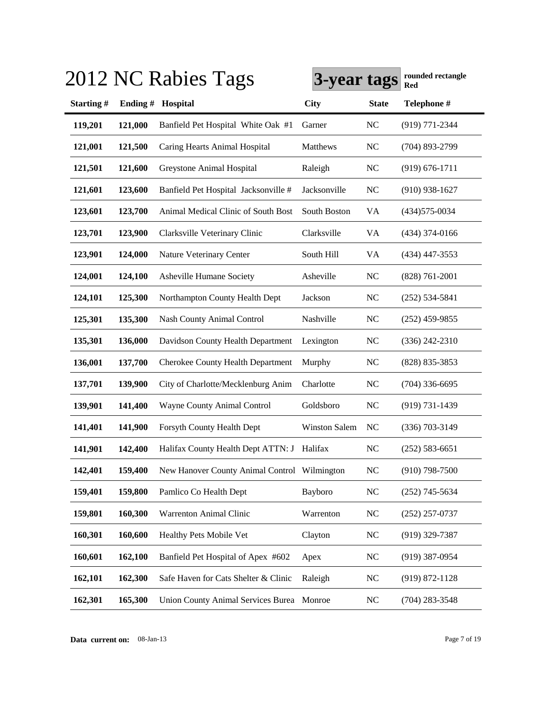|           |          | 2012 NC Rabies Tags                          | 3-year tags          |              | rounded rectangle<br>Red |
|-----------|----------|----------------------------------------------|----------------------|--------------|--------------------------|
| Starting# | Ending # | Hospital                                     | <b>City</b>          | <b>State</b> | Telephone #              |
| 119,201   | 121,000  | Banfield Pet Hospital White Oak #1           | Garner               | <b>NC</b>    | (919) 771-2344           |
| 121,001   | 121,500  | Caring Hearts Animal Hospital                | Matthews             | <b>NC</b>    | $(704)$ 893-2799         |
| 121,501   | 121,600  | Greystone Animal Hospital                    | Raleigh              | <b>NC</b>    | $(919) 676 - 1711$       |
| 121,601   | 123,600  | Banfield Pet Hospital Jacksonville #         | Jacksonville         | <b>NC</b>    | $(910)$ 938-1627         |
| 123,601   | 123,700  | Animal Medical Clinic of South Bost          | South Boston         | VA           | $(434)575-0034$          |
| 123,701   | 123,900  | Clarksville Veterinary Clinic                | Clarksville          | VA           | $(434)$ 374-0166         |
| 123,901   | 124,000  | Nature Veterinary Center                     | South Hill           | VA           | $(434)$ 447-3553         |
| 124,001   | 124,100  | <b>Asheville Humane Society</b>              | Asheville            | <b>NC</b>    | $(828) 761 - 2001$       |
| 124,101   | 125,300  | Northampton County Health Dept               | Jackson              | <b>NC</b>    | $(252)$ 534-5841         |
| 125,301   | 135,300  | <b>Nash County Animal Control</b>            | Nashville            | <b>NC</b>    | $(252)$ 459-9855         |
| 135,301   | 136,000  | Davidson County Health Department            | Lexington            | <b>NC</b>    | $(336)$ 242-2310         |
| 136,001   | 137,700  | <b>Cherokee County Health Department</b>     | Murphy               | <b>NC</b>    | (828) 835-3853           |
| 137,701   | 139,900  | City of Charlotte/Mecklenburg Anim           | Charlotte            | <b>NC</b>    | $(704)$ 336-6695         |
| 139,901   | 141,400  | Wayne County Animal Control                  | Goldsboro            | <b>NC</b>    | $(919) 731 - 1439$       |
| 141,401   | 141,900  | Forsyth County Health Dept                   | <b>Winston Salem</b> | <b>NC</b>    | $(336)$ 703-3149         |
| 141,901   | 142,400  | Halifax County Health Dept ATTN: J Halifax   |                      | <b>NC</b>    | $(252) 583 - 6651$       |
| 142,401   | 159,400  | New Hanover County Animal Control Wilmington |                      | NC           | $(910)$ 798-7500         |
| 159,401   | 159,800  | Pamlico Co Health Dept                       | Bayboro              | <b>NC</b>    | $(252)$ 745-5634         |
| 159,801   | 160,300  | Warrenton Animal Clinic                      | Warrenton            | NC           | $(252)$ 257-0737         |
| 160,301   | 160,600  | Healthy Pets Mobile Vet                      | Clayton              | <b>NC</b>    | $(919)$ 329-7387         |
| 160,601   | 162,100  | Banfield Pet Hospital of Apex #602           | Apex                 | <b>NC</b>    | $(919)$ 387-0954         |
| 162,101   | 162,300  | Safe Haven for Cats Shelter & Clinic         | Raleigh              | <b>NC</b>    | $(919) 872 - 1128$       |
| 162,301   | 165,300  | Union County Animal Services Burea Monroe    |                      | <b>NC</b>    | $(704)$ 283-3548         |

**Data current on:** 08-Jan-13 Page 7 of 19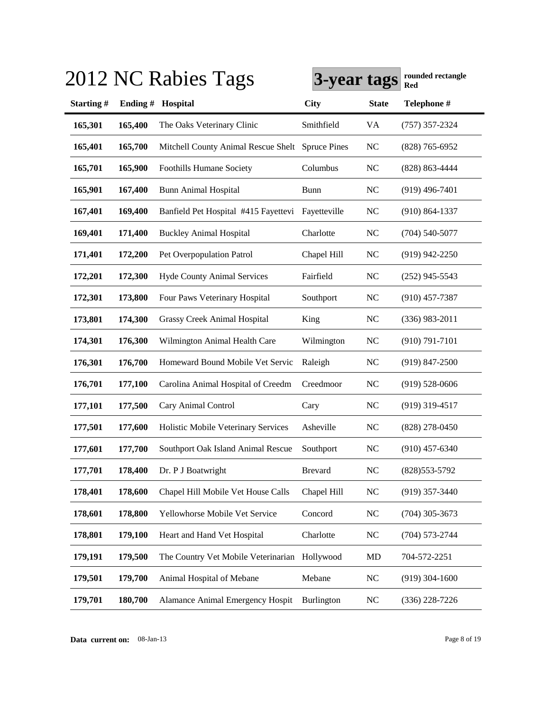|           |         | 2012 NC Rabies Tags                     | 3-year tags         |              | rounded rectangle<br><b>Red</b> |
|-----------|---------|-----------------------------------------|---------------------|--------------|---------------------------------|
| Starting# | Ending# | Hospital                                | <b>City</b>         | <b>State</b> | Telephone #                     |
| 165,301   | 165,400 | The Oaks Veterinary Clinic              | Smithfield          | VA           | $(757)$ 357-2324                |
| 165,401   | 165,700 | Mitchell County Animal Rescue Shelt     | <b>Spruce Pines</b> | NC           | $(828)$ 765-6952                |
| 165,701   | 165,900 | <b>Foothills Humane Society</b>         | Columbus            | <b>NC</b>    | (828) 863-4444                  |
| 165,901   | 167,400 | <b>Bunn Animal Hospital</b>             | Bunn                | <b>NC</b>    | $(919)$ 496-7401                |
| 167,401   | 169,400 | Banfield Pet Hospital #415 Fayettevi    | Fayetteville        | <b>NC</b>    | $(910) 864 - 1337$              |
| 169,401   | 171,400 | <b>Buckley Animal Hospital</b>          | Charlotte           | <b>NC</b>    | $(704) 540 - 5077$              |
| 171,401   | 172,200 | Pet Overpopulation Patrol               | Chapel Hill         | <b>NC</b>    | $(919)$ 942-2250                |
| 172,201   | 172,300 | <b>Hyde County Animal Services</b>      | Fairfield           | <b>NC</b>    | $(252)$ 945-5543                |
| 172,301   | 173,800 | Four Paws Veterinary Hospital           | Southport           | <b>NC</b>    | $(910)$ 457-7387                |
| 173,801   | 174,300 | <b>Grassy Creek Animal Hospital</b>     | King                | <b>NC</b>    | $(336)$ 983-2011                |
| 174,301   | 176,300 | Wilmington Animal Health Care           | Wilmington          | <b>NC</b>    | $(910) 791 - 7101$              |
| 176,301   | 176,700 | Homeward Bound Mobile Vet Servic        | Raleigh             | <b>NC</b>    | $(919)$ 847-2500                |
| 176,701   | 177,100 | Carolina Animal Hospital of Creedm      | Creedmoor           | <b>NC</b>    | $(919) 528 - 0606$              |
| 177,101   | 177,500 | Cary Animal Control                     | Cary                | <b>NC</b>    | $(919)$ 319-4517                |
| 177,501   | 177,600 | Holistic Mobile Veterinary Services     | Asheville           | <b>NC</b>    | $(828)$ 278-0450                |
| 177,601   | 177,700 | Southport Oak Island Animal Rescue      | Southport           | <b>NC</b>    | $(910)$ 457-6340                |
| 177,701   | 178,400 | Dr. P J Boatwright                      | <b>Brevard</b>      | NC           | $(828)553-5792$                 |
| 178,401   | 178,600 | Chapel Hill Mobile Vet House Calls      | Chapel Hill         | NC           | $(919)$ 357-3440                |
| 178,601   | 178,800 | Yellowhorse Mobile Vet Service          | Concord             | NC           | $(704)$ 305-3673                |
| 178,801   | 179,100 | Heart and Hand Vet Hospital             | Charlotte           | $\rm NC$     | $(704)$ 573-2744                |
| 179,191   | 179,500 | The Country Vet Mobile Veterinarian     | Hollywood           | MD           | 704-572-2251                    |
| 179,501   | 179,700 | Animal Hospital of Mebane               | Mebane              | <b>NC</b>    | $(919)$ 304-1600                |
| 179,701   | 180,700 | <b>Alamance Animal Emergency Hospit</b> | Burlington          | NC           | $(336)$ 228-7226                |

# $3.913 \times 10^{-12}$   $\text{R}_{\text{2}}$   $\text{R}_{\text{2}}$   $\text{R}_{\text{2}}$   $\text{R}_{\text{2}}$   $\text{R}_{\text{2}}$   $\text{R}_{\text{2}}$   $\text{R}_{\text{2}}$   $\text{R}_{\text{2}}$   $\text{R}_{\text{2}}$   $\text{R}_{\text{2}}$   $\text{R}_{\text{2}}$   $\text{R}_{\text{2}}$   $\text{R}_{\text{2}}$   $\text{R}_{\text{2}}$   $\text{R}_{\text{2}}$   $\text{R}_{\text{$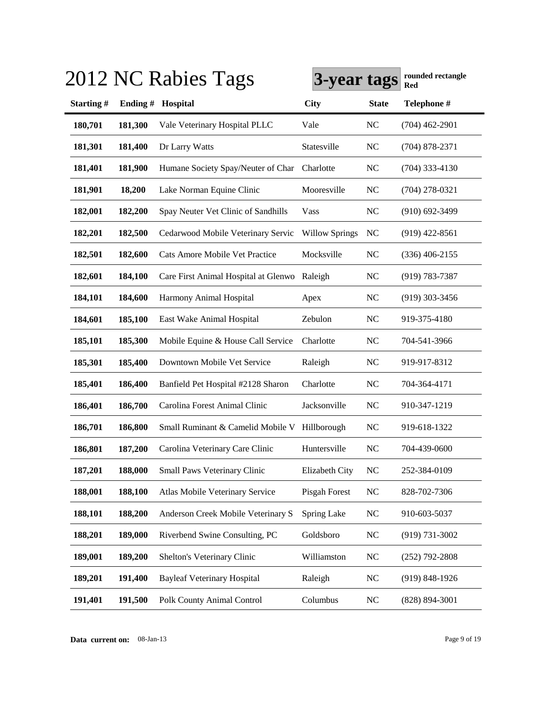|           |         | 2012 NC Rabies Tags                  | 3-year tags           |              | rounded rectangle<br><b>Red</b> |
|-----------|---------|--------------------------------------|-----------------------|--------------|---------------------------------|
| Starting# | Ending# | Hospital                             | <b>City</b>           | <b>State</b> | Telephone #                     |
| 180,701   | 181,300 | Vale Veterinary Hospital PLLC        | Vale                  | NC           | $(704)$ 462-2901                |
| 181,301   | 181,400 | Dr Larry Watts                       | Statesville           | NC           | $(704)$ 878-2371                |
| 181,401   | 181,900 | Humane Society Spay/Neuter of Char   | Charlotte             | <b>NC</b>    | $(704)$ 333-4130                |
| 181,901   | 18,200  | Lake Norman Equine Clinic            | Mooresville           | NC           | $(704)$ 278-0321                |
| 182,001   | 182,200 | Spay Neuter Vet Clinic of Sandhills  | Vass                  | <b>NC</b>    | $(910)$ 692-3499                |
| 182,201   | 182,500 | Cedarwood Mobile Veterinary Servic   | <b>Willow Springs</b> | NC           | $(919)$ 422-8561                |
| 182,501   | 182,600 | Cats Amore Mobile Vet Practice       | Mocksville            | <b>NC</b>    | $(336)$ 406-2155                |
| 182,601   | 184,100 | Care First Animal Hospital at Glenwo | Raleigh               | <b>NC</b>    | $(919) 783 - 7387$              |
| 184,101   | 184,600 | Harmony Animal Hospital              | Apex                  | <b>NC</b>    | $(919)$ 303-3456                |
| 184,601   | 185,100 | East Wake Animal Hospital            | Zebulon               | NC           | 919-375-4180                    |
| 185,101   | 185,300 | Mobile Equine & House Call Service   | Charlotte             | NC           | 704-541-3966                    |
| 185,301   | 185,400 | Downtown Mobile Vet Service          | Raleigh               | NC           | 919-917-8312                    |
| 185,401   | 186,400 | Banfield Pet Hospital #2128 Sharon   | Charlotte             | NC           | 704-364-4171                    |
| 186,401   | 186,700 | Carolina Forest Animal Clinic        | Jacksonville          | NC           | 910-347-1219                    |
| 186,701   | 186,800 | Small Ruminant & Camelid Mobile V    | Hillborough           | <b>NC</b>    | 919-618-1322                    |
| 186,801   | 187,200 | Carolina Veterinary Care Clinic      | Huntersville          | NC           | 704-439-0600                    |
| 187,201   | 188,000 | Small Paws Veterinary Clinic         | Elizabeth City        | <b>NC</b>    | 252-384-0109                    |
| 188,001   | 188,100 | Atlas Mobile Veterinary Service      | Pisgah Forest         | <b>NC</b>    | 828-702-7306                    |
| 188,101   | 188,200 | Anderson Creek Mobile Veterinary S   | Spring Lake           | <b>NC</b>    | 910-603-5037                    |
| 188,201   | 189,000 | Riverbend Swine Consulting, PC       | Goldsboro             | <b>NC</b>    | $(919) 731 - 3002$              |
| 189,001   | 189,200 | Shelton's Veterinary Clinic          | Williamston           | <b>NC</b>    | $(252)$ 792-2808                |
| 189,201   | 191,400 | <b>Bayleaf Veterinary Hospital</b>   | Raleigh               | NC           | $(919) 848 - 1926$              |
| 191,401   | 191,500 | Polk County Animal Control           | Columbus              | NC           | $(828) 894 - 3001$              |

# **3-year tags rounded rectangle** 2012 NC Rabies Tags **Red**

**Data current on:** 08-Jan-13 Page 9 of 19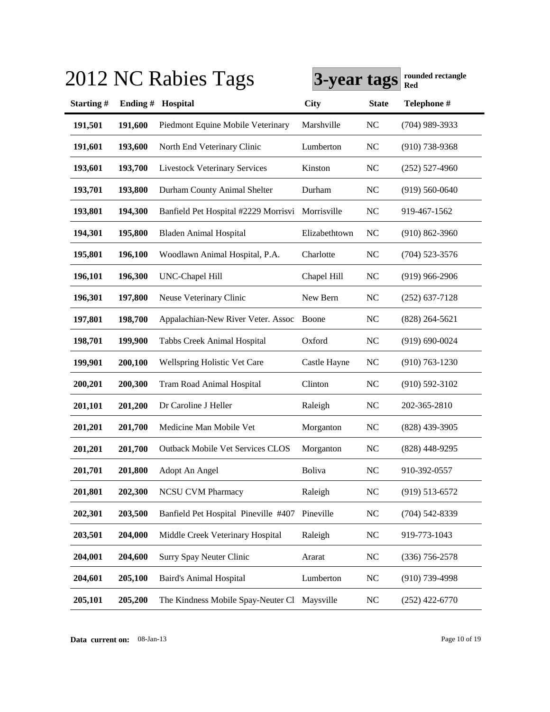|           |         | 2012 NC Rabies Tags                          | 3-year tags   |              | rounded rectangle<br>Red |
|-----------|---------|----------------------------------------------|---------------|--------------|--------------------------|
| Starting# | Ending# | Hospital                                     | <b>City</b>   | <b>State</b> | Telephone #              |
| 191,501   | 191,600 | Piedmont Equine Mobile Veterinary            | Marshville    | <b>NC</b>    | (704) 989-3933           |
| 191,601   | 193,600 | North End Veterinary Clinic                  | Lumberton     | <b>NC</b>    | $(910)$ 738-9368         |
| 193,601   | 193,700 | <b>Livestock Veterinary Services</b>         | Kinston       | <b>NC</b>    | $(252)$ 527-4960         |
| 193,701   | 193,800 | Durham County Animal Shelter                 | Durham        | <b>NC</b>    | $(919) 560 - 0640$       |
| 193,801   | 194,300 | Banfield Pet Hospital #2229 Morrisvi         | Morrisville   | NC           | 919-467-1562             |
| 194,301   | 195,800 | <b>Bladen Animal Hospital</b>                | Elizabethtown | NC           | $(910)$ 862-3960         |
| 195,801   | 196,100 | Woodlawn Animal Hospital, P.A.               | Charlotte     | <b>NC</b>    | $(704)$ 523-3576         |
| 196,101   | 196,300 | UNC-Chapel Hill                              | Chapel Hill   | NC           | $(919)$ 966-2906         |
| 196,301   | 197,800 | Neuse Veterinary Clinic                      | New Bern      | <b>NC</b>    | $(252)$ 637-7128         |
| 197,801   | 198,700 | Appalachian-New River Veter. Assoc           | Boone         | <b>NC</b>    | $(828)$ 264-5621         |
| 198,701   | 199,900 | Tabbs Creek Animal Hospital                  | Oxford        | <b>NC</b>    | $(919) 690 - 0024$       |
| 199,901   | 200,100 | <b>Wellspring Holistic Vet Care</b>          | Castle Hayne  | <b>NC</b>    | $(910) 763 - 1230$       |
| 200,201   | 200,300 | Tram Road Animal Hospital                    | Clinton       | <b>NC</b>    | $(910) 592 - 3102$       |
| 201,101   | 201,200 | Dr Caroline J Heller                         | Raleigh       | <b>NC</b>    | 202-365-2810             |
| 201,201   | 201,700 | Medicine Man Mobile Vet                      | Morganton     | NC           | $(828)$ 439-3905         |
| 201,201   | 201,700 | <b>Outback Mobile Vet Services CLOS</b>      | Morganton     | <b>NC</b>    | $(828)$ 448-9295         |
| 201,701   | 201,800 | Adopt An Angel                               | <b>Boliva</b> | NC           | 910-392-0557             |
| 201,801   | 202,300 | <b>NCSU CVM Pharmacy</b>                     | Raleigh       | <b>NC</b>    | $(919) 513 - 6572$       |
| 202,301   | 203,500 | Banfield Pet Hospital Pineville #407         | Pineville     | <b>NC</b>    | $(704) 542 - 8339$       |
| 203,501   | 204,000 | Middle Creek Veterinary Hospital             | Raleigh       | <b>NC</b>    | 919-773-1043             |
| 204,001   | 204,600 | Surry Spay Neuter Clinic                     | Ararat        | <b>NC</b>    | $(336)$ 756-2578         |
| 204,601   | 205,100 | <b>Baird's Animal Hospital</b>               | Lumberton     | <b>NC</b>    | $(910)$ 739-4998         |
| 205,101   | 205,200 | The Kindness Mobile Spay-Neuter Cl Maysville |               | <b>NC</b>    | $(252)$ 422-6770         |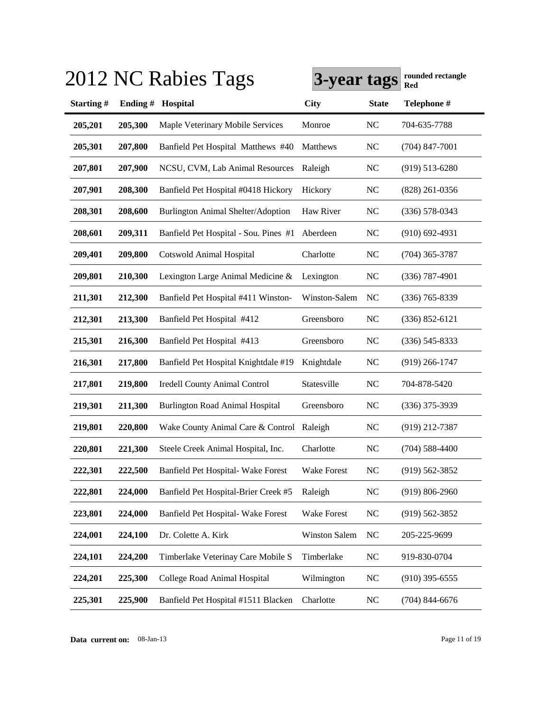|           |         | 2012 NC Rabies Tags                       | 3-year tags          |              | rounded rectangle<br>Red |
|-----------|---------|-------------------------------------------|----------------------|--------------|--------------------------|
| Starting# | Ending# | Hospital                                  | <b>City</b>          | <b>State</b> | Telephone #              |
| 205,201   | 205,300 | Maple Veterinary Mobile Services          | Monroe               | NC           | 704-635-7788             |
| 205,301   | 207,800 | Banfield Pet Hospital Matthews #40        | Matthews             | NC           | $(704)$ 847-7001         |
| 207,801   | 207,900 | NCSU, CVM, Lab Animal Resources           | Raleigh              | <b>NC</b>    | $(919)$ 513-6280         |
| 207,901   | 208,300 | Banfield Pet Hospital #0418 Hickory       | Hickory              | <b>NC</b>    | $(828)$ 261-0356         |
| 208,301   | 208,600 | Burlington Animal Shelter/Adoption        | Haw River            | NC           | $(336)$ 578-0343         |
| 208,601   | 209,311 | Banfield Pet Hospital - Sou. Pines #1     | Aberdeen             | <b>NC</b>    | $(910)$ 692-4931         |
| 209,401   | 209,800 | <b>Cotswold Animal Hospital</b>           | Charlotte            | <b>NC</b>    | $(704)$ 365-3787         |
| 209,801   | 210,300 | Lexington Large Animal Medicine &         | Lexington            | <b>NC</b>    | $(336)$ 787-4901         |
| 211,301   | 212,300 | Banfield Pet Hospital #411 Winston-       | Winston-Salem        | NC           | $(336)$ 765-8339         |
| 212,301   | 213,300 | Banfield Pet Hospital #412                | Greensboro           | <b>NC</b>    | $(336) 852 - 6121$       |
| 215,301   | 216,300 | Banfield Pet Hospital #413                | Greensboro           | <b>NC</b>    | $(336)$ 545-8333         |
| 216,301   | 217,800 | Banfield Pet Hospital Knightdale #19      | Knightdale           | <b>NC</b>    | $(919)$ 266-1747         |
| 217,801   | 219,800 | <b>Iredell County Animal Control</b>      | Statesville          | NC           | 704-878-5420             |
| 219,301   | 211,300 | <b>Burlington Road Animal Hospital</b>    | Greensboro           | <b>NC</b>    | $(336)$ 375-3939         |
| 219,801   | 220,800 | Wake County Animal Care & Control Raleigh |                      | NC           | (919) 212-7387           |
| 220,801   | 221,300 | Steele Creek Animal Hospital, Inc.        | Charlotte            | NC           | $(704)$ 588-4400         |
| 222,301   | 222,500 | Banfield Pet Hospital- Wake Forest        | Wake Forest          | NC           | $(919)$ 562-3852         |
| 222,801   | 224,000 | Banfield Pet Hospital-Brier Creek #5      | Raleigh              | <b>NC</b>    | $(919) 806 - 2960$       |
| 223,801   | 224,000 | Banfield Pet Hospital- Wake Forest        | <b>Wake Forest</b>   | NC           | $(919) 562 - 3852$       |
| 224,001   | 224,100 | Dr. Colette A. Kirk                       | <b>Winston Salem</b> | <b>NC</b>    | 205-225-9699             |
| 224,101   | 224,200 | Timberlake Veterinay Care Mobile S        | Timberlake           | <b>NC</b>    | 919-830-0704             |
| 224,201   | 225,300 | College Road Animal Hospital              | Wilmington           | <b>NC</b>    | $(910)$ 395-6555         |
| 225,301   | 225,900 | Banfield Pet Hospital #1511 Blacken       | Charlotte            | NC           | $(704)$ 844-6676         |

**Data current on:** 08-Jan-13 Page 11 of 19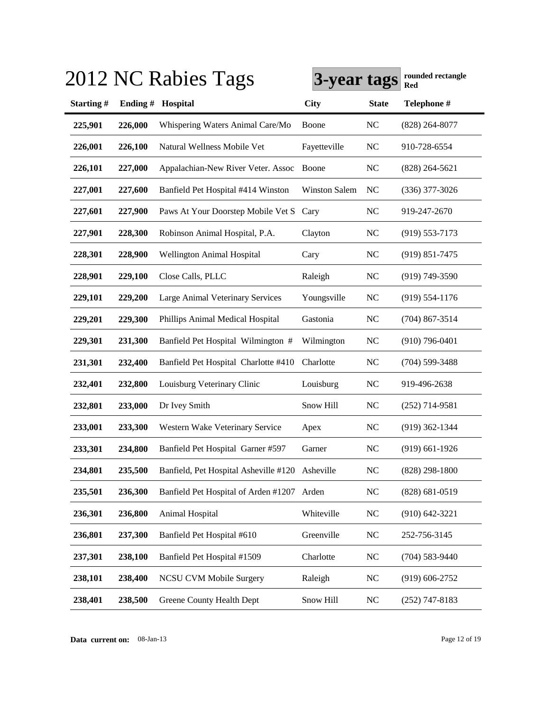|           |         | 2012 NC Rabies Tags                             | 3-year tags          |              | rounded rectangle<br>Red |
|-----------|---------|-------------------------------------------------|----------------------|--------------|--------------------------|
| Starting# | Ending# | Hospital                                        | <b>City</b>          | <b>State</b> | Telephone #              |
| 225,901   | 226,000 | Whispering Waters Animal Care/Mo                | Boone                | <b>NC</b>    | $(828)$ 264-8077         |
| 226,001   | 226,100 | Natural Wellness Mobile Vet                     | Fayetteville         | <b>NC</b>    | 910-728-6554             |
| 226,101   | 227,000 | Appalachian-New River Veter. Assoc              | Boone                | <b>NC</b>    | $(828)$ 264-5621         |
| 227,001   | 227,600 | Banfield Pet Hospital #414 Winston              | <b>Winston Salem</b> | NC           | $(336)$ 377-3026         |
| 227,601   | 227,900 | Paws At Your Doorstep Mobile Vet S              | Cary                 | <b>NC</b>    | 919-247-2670             |
| 227,901   | 228,300 | Robinson Animal Hospital, P.A.                  | Clayton              | NC           | $(919) 553 - 7173$       |
| 228,301   | 228,900 | Wellington Animal Hospital                      | Cary                 | NC           | $(919) 851 - 7475$       |
| 228,901   | 229,100 | Close Calls, PLLC                               | Raleigh              | <b>NC</b>    | $(919) 749 - 3590$       |
| 229,101   | 229,200 | Large Animal Veterinary Services                | Youngsville          | <b>NC</b>    | $(919) 554 - 1176$       |
| 229,201   | 229,300 | Phillips Animal Medical Hospital                | Gastonia             | <b>NC</b>    | $(704)$ 867-3514         |
| 229,301   | 231,300 | Banfield Pet Hospital Wilmington #              | Wilmington           | <b>NC</b>    | $(910)$ 796-0401         |
| 231,301   | 232,400 | Banfield Pet Hospital Charlotte #410            | Charlotte            | <b>NC</b>    | $(704)$ 599-3488         |
| 232,401   | 232,800 | Louisburg Veterinary Clinic                     | Louisburg            | <b>NC</b>    | 919-496-2638             |
| 232,801   | 233,000 | Dr Ivey Smith                                   | Snow Hill            | <b>NC</b>    | $(252)$ 714-9581         |
| 233,001   | 233,300 | Western Wake Veterinary Service                 | Apex                 | <b>NC</b>    | $(919)$ 362-1344         |
| 233,301   | 234,800 | Banfield Pet Hospital Garner #597               | Garner               | <b>NC</b>    | $(919)$ 661-1926         |
| 234,801   | 235,500 | Banfield, Pet Hospital Asheville #120 Asheville |                      | NC           | $(828)$ 298-1800         |
| 235,501   | 236,300 | Banfield Pet Hospital of Arden #1207 Arden      |                      | <b>NC</b>    | $(828) 681 - 0519$       |
| 236,301   | 236,800 | Animal Hospital                                 | Whiteville           | <b>NC</b>    | $(910) 642 - 3221$       |
| 236,801   | 237,300 | Banfield Pet Hospital #610                      | Greenville           | <b>NC</b>    | 252-756-3145             |
| 237,301   | 238,100 | Banfield Pet Hospital #1509                     | Charlotte            | <b>NC</b>    | $(704) 583 - 9440$       |
| 238,101   | 238,400 | <b>NCSU CVM Mobile Surgery</b>                  | Raleigh              | <b>NC</b>    | $(919) 606 - 2752$       |
| 238,401   | 238,500 | Greene County Health Dept                       | Snow Hill            | <b>NC</b>    | $(252)$ 747-8183         |

**Data current on:** 08-Jan-13 Page 12 of 19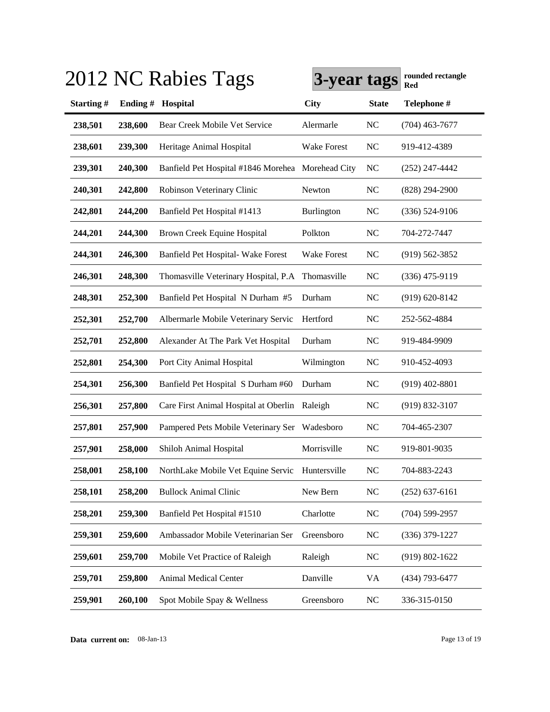|           |         | 2012 NC Rabies Tags                               | 3-year tags        |              | rounded rectangle<br>Red |
|-----------|---------|---------------------------------------------------|--------------------|--------------|--------------------------|
| Starting# | Ending# | Hospital                                          | <b>City</b>        | <b>State</b> | Telephone #              |
| 238,501   | 238,600 | Bear Creek Mobile Vet Service                     | Alermarle          | NC           | $(704)$ 463-7677         |
| 238,601   | 239,300 | Heritage Animal Hospital                          | <b>Wake Forest</b> | NC           | 919-412-4389             |
| 239,301   | 240,300 | Banfield Pet Hospital #1846 Morehea Morehead City |                    | NC           | $(252)$ 247-4442         |
| 240,301   | 242,800 | Robinson Veterinary Clinic                        | Newton             | <b>NC</b>    | $(828)$ 294-2900         |
| 242,801   | 244,200 | Banfield Pet Hospital #1413                       | Burlington         | NC           | $(336) 524-9106$         |
| 244,201   | 244,300 | Brown Creek Equine Hospital                       | Polkton            | NC           | 704-272-7447             |
| 244,301   | 246,300 | Banfield Pet Hospital- Wake Forest                | <b>Wake Forest</b> | NC           | $(919) 562 - 3852$       |
| 246,301   | 248,300 | Thomasville Veterinary Hospital, P.A              | Thomasville        | <b>NC</b>    | $(336)$ 475-9119         |
| 248,301   | 252,300 | Banfield Pet Hospital N Durham #5                 | Durham             | NC           | $(919) 620 - 8142$       |
| 252,301   | 252,700 | Albermarle Mobile Veterinary Servic               | Hertford           | NC           | 252-562-4884             |
| 252,701   | 252,800 | Alexander At The Park Vet Hospital                | Durham             | NC           | 919-484-9909             |
| 252,801   | 254,300 | Port City Animal Hospital                         | Wilmington         | <b>NC</b>    | 910-452-4093             |
| 254,301   | 256,300 | Banfield Pet Hospital S Durham #60                | Durham             | <b>NC</b>    | $(919)$ 402-8801         |
| 256,301   | 257,800 | Care First Animal Hospital at Oberlin             | Raleigh            | <b>NC</b>    | $(919) 832 - 3107$       |
| 257,801   | 257,900 | Pampered Pets Mobile Veterinary Ser Wadesboro     |                    | <b>NC</b>    | 704-465-2307             |
| 257,901   | 258,000 | Shiloh Animal Hospital                            | Morrisville        | <b>NC</b>    | 919-801-9035             |
| 258,001   | 258,100 | NorthLake Mobile Vet Equine Servic Huntersville   |                    | <b>NC</b>    | 704-883-2243             |
| 258,101   | 258,200 | <b>Bullock Animal Clinic</b>                      | New Bern           | <b>NC</b>    | $(252) 637 - 6161$       |
| 258,201   | 259,300 | Banfield Pet Hospital #1510                       | Charlotte          | <b>NC</b>    | $(704)$ 599-2957         |
| 259,301   | 259,600 | Ambassador Mobile Veterinarian Ser                | Greensboro         | NC           | $(336)$ 379-1227         |
| 259,601   | 259,700 | Mobile Vet Practice of Raleigh                    | Raleigh            | <b>NC</b>    | $(919) 802 - 1622$       |
| 259,701   | 259,800 | <b>Animal Medical Center</b>                      | Danville           | VA           | (434) 793-6477           |
| 259,901   | 260,100 | Spot Mobile Spay & Wellness                       | Greensboro         | <b>NC</b>    | 336-315-0150             |

# $3.913 \times 10^{-12}$   $\text{R}_{\text{2}}$   $\text{R}_{\text{2}}$   $\text{R}_{\text{2}}$   $\text{R}_{\text{2}}$   $\text{R}_{\text{2}}$   $\text{R}_{\text{2}}$   $\text{R}_{\text{2}}$   $\text{R}_{\text{2}}$   $\text{R}_{\text{2}}$   $\text{R}_{\text{2}}$   $\text{R}_{\text{2}}$   $\text{R}_{\text{2}}$   $\text{R}_{\text{2}}$   $\text{R}_{\text{2}}$   $\text{R}_{\text{2}}$   $\text{R}_{\text{$

**Data current on:** 08-Jan-13 Page 13 of 19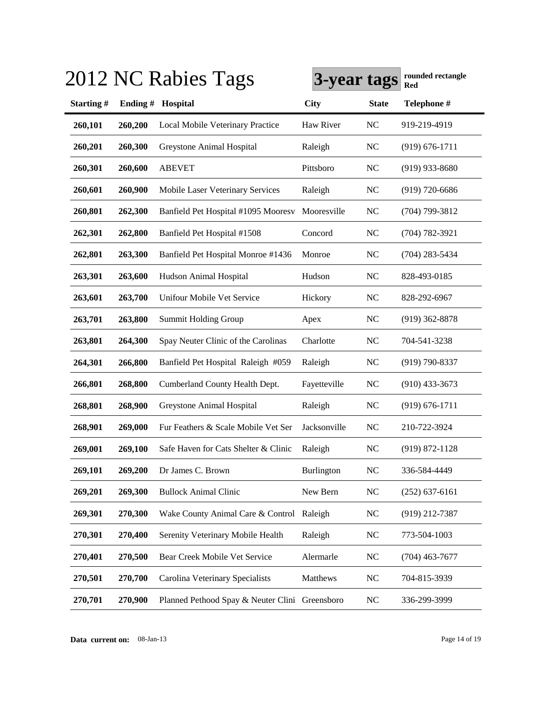|           |         | 2012 NC Rabies Tags                            | 3-year tags  |              | rounded rectangle<br>Red |
|-----------|---------|------------------------------------------------|--------------|--------------|--------------------------|
| Starting# | Ending# | Hospital                                       | <b>City</b>  | <b>State</b> | Telephone #              |
| 260,101   | 260,200 | Local Mobile Veterinary Practice               | Haw River    | <b>NC</b>    | 919-219-4919             |
| 260,201   | 260,300 | Greystone Animal Hospital                      | Raleigh      | <b>NC</b>    | $(919) 676 - 1711$       |
| 260,301   | 260,600 | <b>ABEVET</b>                                  | Pittsboro    | <b>NC</b>    | $(919)$ 933-8680         |
| 260,601   | 260,900 | Mobile Laser Veterinary Services               | Raleigh      | NC           | $(919) 720 - 6686$       |
| 260,801   | 262,300 | Banfield Pet Hospital #1095 Mooresv            | Mooresville  | NC           | $(704)$ 799-3812         |
| 262,301   | 262,800 | Banfield Pet Hospital #1508                    | Concord      | <b>NC</b>    | $(704) 782 - 3921$       |
| 262,801   | 263,300 | Banfield Pet Hospital Monroe #1436             | Monroe       | NC           | $(704)$ 283-5434         |
| 263,301   | 263,600 | Hudson Animal Hospital                         | Hudson       | NC           | 828-493-0185             |
| 263,601   | 263,700 | Unifour Mobile Vet Service                     | Hickory      | <b>NC</b>    | 828-292-6967             |
| 263,701   | 263,800 | <b>Summit Holding Group</b>                    | Apex         | <b>NC</b>    | $(919)$ 362-8878         |
| 263,801   | 264,300 | Spay Neuter Clinic of the Carolinas            | Charlotte    | <b>NC</b>    | 704-541-3238             |
| 264,301   | 266,800 | Banfield Pet Hospital Raleigh #059             | Raleigh      | <b>NC</b>    | $(919) 790 - 8337$       |
| 266,801   | 268,800 | Cumberland County Health Dept.                 | Fayetteville | <b>NC</b>    | $(910)$ 433-3673         |
| 268,801   | 268,900 | Greystone Animal Hospital                      | Raleigh      | <b>NC</b>    | $(919) 676 - 1711$       |
| 268,901   | 269,000 | Fur Feathers & Scale Mobile Vet Ser            | Jacksonville | <b>NC</b>    | 210-722-3924             |
| 269,001   | 269,100 | Safe Haven for Cats Shelter & Clinic           | Raleigh      | <b>NC</b>    | $(919) 872 - 1128$       |
| 269,101   | 269,200 | Dr James C. Brown                              | Burlington   | NC           | 336-584-4449             |
| 269,201   | 269,300 | <b>Bullock Animal Clinic</b>                   | New Bern     | <b>NC</b>    | $(252) 637 - 6161$       |
| 269,301   | 270,300 | Wake County Animal Care & Control Raleigh      |              | <b>NC</b>    | $(919)$ 212-7387         |
| 270,301   | 270,400 | Serenity Veterinary Mobile Health              | Raleigh      | <b>NC</b>    | 773-504-1003             |
| 270,401   | 270,500 | Bear Creek Mobile Vet Service                  | Alermarle    | <b>NC</b>    | $(704)$ 463-7677         |
| 270,501   | 270,700 | Carolina Veterinary Specialists                | Matthews     | <b>NC</b>    | 704-815-3939             |
| 270,701   | 270,900 | Planned Pethood Spay & Neuter Clini Greensboro |              | <b>NC</b>    | 336-299-3999             |

**Data current on:** 08-Jan-13 Page 14 of 19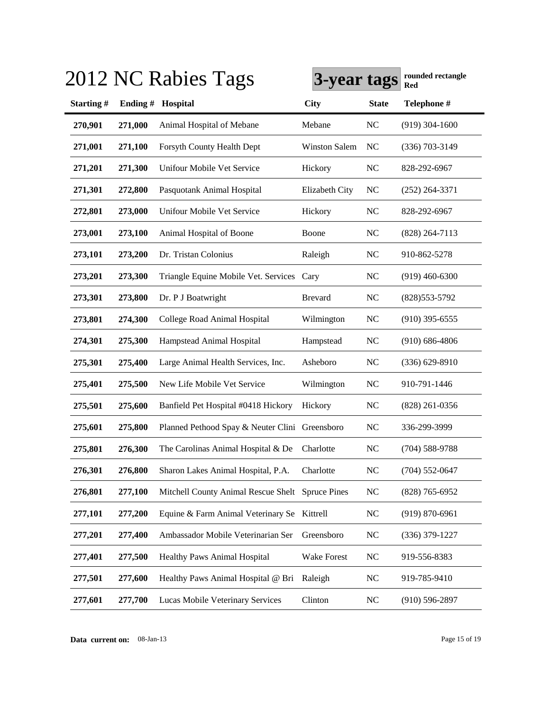|           |         | 2012 NC Rabies Tags                              | 3-year tags          |              | rounded rectangle<br>Red |
|-----------|---------|--------------------------------------------------|----------------------|--------------|--------------------------|
| Starting# | Ending# | Hospital                                         | <b>City</b>          | <b>State</b> | Telephone #              |
| 270,901   | 271,000 | Animal Hospital of Mebane                        | Mebane               | <b>NC</b>    | $(919)$ 304-1600         |
| 271,001   | 271,100 | Forsyth County Health Dept                       | <b>Winston Salem</b> | NC           | $(336)$ 703-3149         |
| 271,201   | 271,300 | Unifour Mobile Vet Service                       | Hickory              | <b>NC</b>    | 828-292-6967             |
| 271,301   | 272,800 | Pasquotank Animal Hospital                       | Elizabeth City       | NC           | $(252)$ 264-3371         |
| 272,801   | 273,000 | Unifour Mobile Vet Service                       | Hickory              | NC           | 828-292-6967             |
| 273,001   | 273,100 | Animal Hospital of Boone                         | Boone                | NC           | $(828)$ 264-7113         |
| 273,101   | 273,200 | Dr. Tristan Colonius                             | Raleigh              | <b>NC</b>    | 910-862-5278             |
| 273,201   | 273,300 | Triangle Equine Mobile Vet. Services Cary        |                      | NC           | $(919)$ 460-6300         |
| 273,301   | 273,800 | Dr. P J Boatwright                               | <b>Brevard</b>       | <b>NC</b>    | (828) 553-5792           |
| 273,801   | 274,300 | College Road Animal Hospital                     | Wilmington           | <b>NC</b>    | $(910)$ 395-6555         |
| 274,301   | 275,300 | Hampstead Animal Hospital                        | Hampstead            | <b>NC</b>    | $(910) 686 - 4806$       |
| 275,301   | 275,400 | Large Animal Health Services, Inc.               | Asheboro             | <b>NC</b>    | (336) 629-8910           |
| 275,401   | 275,500 | New Life Mobile Vet Service                      | Wilmington           | <b>NC</b>    | 910-791-1446             |
| 275,501   | 275,600 | Banfield Pet Hospital #0418 Hickory              | Hickory              | <b>NC</b>    | $(828)$ 261-0356         |
| 275,601   | 275,800 | Planned Pethood Spay & Neuter Clini Greensboro   |                      | <b>NC</b>    | 336-299-3999             |
| 275,801   | 276,300 | The Carolinas Animal Hospital & De               | Charlotte            | <b>NC</b>    | $(704)$ 588-9788         |
| 276,301   | 276,800 | Sharon Lakes Animal Hospital, P.A.               | Charlotte            | NC           | $(704)$ 552-0647         |
| 276,801   | 277,100 | Mitchell County Animal Rescue Shelt Spruce Pines |                      | <b>NC</b>    | $(828)$ 765-6952         |
| 277,101   | 277,200 | Equine & Farm Animal Veterinary Se Kittrell      |                      | <b>NC</b>    | $(919) 870 - 6961$       |
| 277,201   | 277,400 | Ambassador Mobile Veterinarian Ser               | Greensboro           | <b>NC</b>    | $(336)$ 379-1227         |
| 277,401   | 277,500 | Healthy Paws Animal Hospital                     | Wake Forest          | <b>NC</b>    | 919-556-8383             |
| 277,501   | 277,600 | Healthy Paws Animal Hospital @ Bri               | Raleigh              | <b>NC</b>    | 919-785-9410             |
| 277,601   | 277,700 | Lucas Mobile Veterinary Services                 | Clinton              | <b>NC</b>    | $(910) 596 - 2897$       |

**Data current on:** 08-Jan-13 Page 15 of 19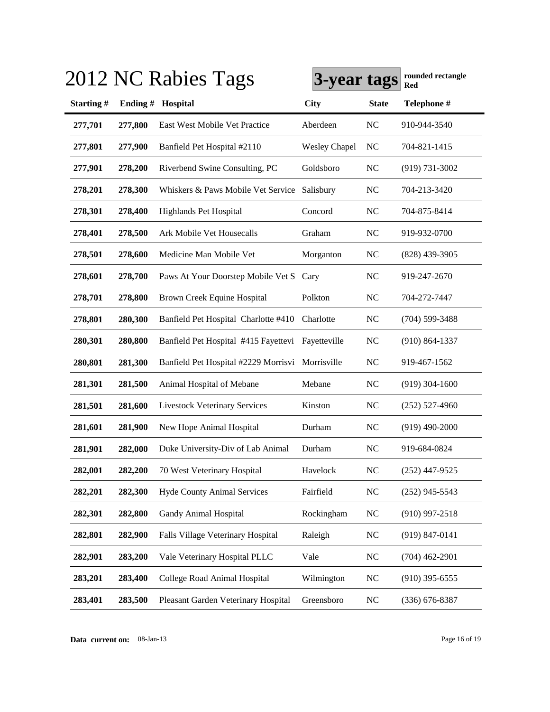|           |         | 2012 NC Rabies Tags                               | 3-year tags          |              | rounded rectangle<br>Red |
|-----------|---------|---------------------------------------------------|----------------------|--------------|--------------------------|
| Starting# | Ending# | Hospital                                          | <b>City</b>          | <b>State</b> | Telephone #              |
| 277,701   | 277,800 | East West Mobile Vet Practice                     | Aberdeen             | <b>NC</b>    | 910-944-3540             |
| 277,801   | 277,900 | Banfield Pet Hospital #2110                       | <b>Wesley Chapel</b> | NC           | 704-821-1415             |
| 277,901   | 278,200 | Riverbend Swine Consulting, PC                    | Goldsboro            | <b>NC</b>    | $(919) 731 - 3002$       |
| 278,201   | 278,300 | Whiskers & Paws Mobile Vet Service                | Salisbury            | <b>NC</b>    | 704-213-3420             |
| 278,301   | 278,400 | Highlands Pet Hospital                            | Concord              | NC           | 704-875-8414             |
| 278,401   | 278,500 | Ark Mobile Vet Housecalls                         | Graham               | NC           | 919-932-0700             |
| 278,501   | 278,600 | Medicine Man Mobile Vet                           | Morganton            | NC           | $(828)$ 439-3905         |
| 278,601   | 278,700 | Paws At Your Doorstep Mobile Vet S Cary           |                      | NC           | 919-247-2670             |
| 278,701   | 278,800 | Brown Creek Equine Hospital                       | Polkton              | NC           | 704-272-7447             |
| 278,801   | 280,300 | Banfield Pet Hospital Charlotte #410              | Charlotte            | <b>NC</b>    | $(704)$ 599-3488         |
| 280,301   | 280,800 | Banfield Pet Hospital #415 Fayettevi Fayetteville |                      | <b>NC</b>    | $(910) 864 - 1337$       |
| 280,801   | 281,300 | Banfield Pet Hospital #2229 Morrisvi              | Morrisville          | <b>NC</b>    | 919-467-1562             |
| 281,301   | 281,500 | Animal Hospital of Mebane                         | Mebane               | <b>NC</b>    | $(919)$ 304-1600         |
| 281,501   | 281,600 | <b>Livestock Veterinary Services</b>              | Kinston              | <b>NC</b>    | $(252)$ 527-4960         |
| 281,601   | 281,900 | New Hope Animal Hospital                          | Durham               | <b>NC</b>    | $(919)$ 490-2000         |
| 281,901   | 282,000 | Duke University-Div of Lab Animal                 | Durham               | NC           | 919-684-0824             |
| 282,001   | 282,200 | 70 West Veterinary Hospital                       | Havelock             | NC           | $(252)$ 447-9525         |
| 282,201   | 282,300 | <b>Hyde County Animal Services</b>                | Fairfield            | NC           | $(252)$ 945-5543         |
| 282,301   | 282,800 | Gandy Animal Hospital                             | Rockingham           | <b>NC</b>    | $(910)$ 997-2518         |
| 282,801   | 282,900 | Falls Village Veterinary Hospital                 | Raleigh              | <b>NC</b>    | $(919) 847 - 0141$       |
| 282,901   | 283,200 | Vale Veterinary Hospital PLLC                     | Vale                 | <b>NC</b>    | $(704)$ 462-2901         |
| 283,201   | 283,400 | College Road Animal Hospital                      | Wilmington           | <b>NC</b>    | $(910)$ 395-6555         |
| 283,401   | 283,500 | Pleasant Garden Veterinary Hospital               | Greensboro           | <b>NC</b>    | $(336)$ 676-8387         |

**Data current on:** 08-Jan-13 Page 16 of 19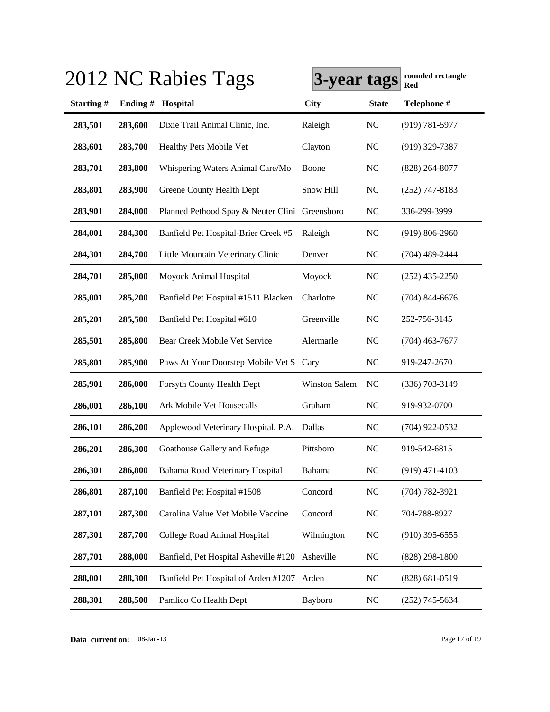|           |         | 2012 NC Rabies Tags                            | 3-year tags          |              | rounded rectangle<br>Red |
|-----------|---------|------------------------------------------------|----------------------|--------------|--------------------------|
| Starting# | Ending# | Hospital                                       | <b>City</b>          | <b>State</b> | Telephone #              |
| 283,501   | 283,600 | Dixie Trail Animal Clinic, Inc.                | Raleigh              | <b>NC</b>    | $(919) 781 - 5977$       |
| 283,601   | 283,700 | Healthy Pets Mobile Vet                        | Clayton              | <b>NC</b>    | $(919)$ 329-7387         |
| 283,701   | 283,800 | Whispering Waters Animal Care/Mo               | Boone                | <b>NC</b>    | $(828)$ 264-8077         |
| 283,801   | 283,900 | Greene County Health Dept                      | Snow Hill            | <b>NC</b>    | $(252)$ 747-8183         |
| 283,901   | 284,000 | Planned Pethood Spay & Neuter Clini Greensboro |                      | <b>NC</b>    | 336-299-3999             |
| 284,001   | 284,300 | Banfield Pet Hospital-Brier Creek #5           | Raleigh              | <b>NC</b>    | $(919) 806 - 2960$       |
| 284,301   | 284,700 | Little Mountain Veterinary Clinic              | Denver               | <b>NC</b>    | $(704)$ 489-2444         |
| 284,701   | 285,000 | Moyock Animal Hospital                         | Moyock               | <b>NC</b>    | $(252)$ 435-2250         |
| 285,001   | 285,200 | Banfield Pet Hospital #1511 Blacken            | Charlotte            | <b>NC</b>    | $(704)$ 844-6676         |
| 285,201   | 285,500 | Banfield Pet Hospital #610                     | Greenville           | <b>NC</b>    | 252-756-3145             |
| 285,501   | 285,800 | Bear Creek Mobile Vet Service                  | Alermarle            | <b>NC</b>    | $(704)$ 463-7677         |
| 285,801   | 285,900 | Paws At Your Doorstep Mobile Vet S Cary        |                      | <b>NC</b>    | 919-247-2670             |
| 285,901   | 286,000 | Forsyth County Health Dept                     | <b>Winston Salem</b> | <b>NC</b>    | $(336)$ 703-3149         |
| 286,001   | 286,100 | Ark Mobile Vet Housecalls                      | Graham               | <b>NC</b>    | 919-932-0700             |
| 286,101   | 286,200 | Applewood Veterinary Hospital, P.A.            | Dallas               | <b>NC</b>    | $(704)$ 922-0532         |
| 286,201   | 286,300 | Goathouse Gallery and Refuge                   | Pittsboro            | <b>NC</b>    | 919-542-6815             |
| 286,301   | 286,800 | Bahama Road Veterinary Hospital                | Bahama               | NC           | $(919)$ 471-4103         |
| 286,801   | 287,100 | Banfield Pet Hospital #1508                    | Concord              | <b>NC</b>    | $(704) 782 - 3921$       |
| 287,101   | 287,300 | Carolina Value Vet Mobile Vaccine              | Concord              | <b>NC</b>    | 704-788-8927             |
| 287,301   | 287,700 | College Road Animal Hospital                   | Wilmington           | <b>NC</b>    | $(910)$ 395-6555         |
| 287,701   | 288,000 | Banfield, Pet Hospital Asheville #120          | Asheville            | <b>NC</b>    | $(828)$ 298-1800         |
| 288,001   | 288,300 | Banfield Pet Hospital of Arden #1207           | Arden                | <b>NC</b>    | $(828)$ 681-0519         |
| 288,301   | 288,500 | Pamlico Co Health Dept                         | Bayboro              | <b>NC</b>    | $(252)$ 745-5634         |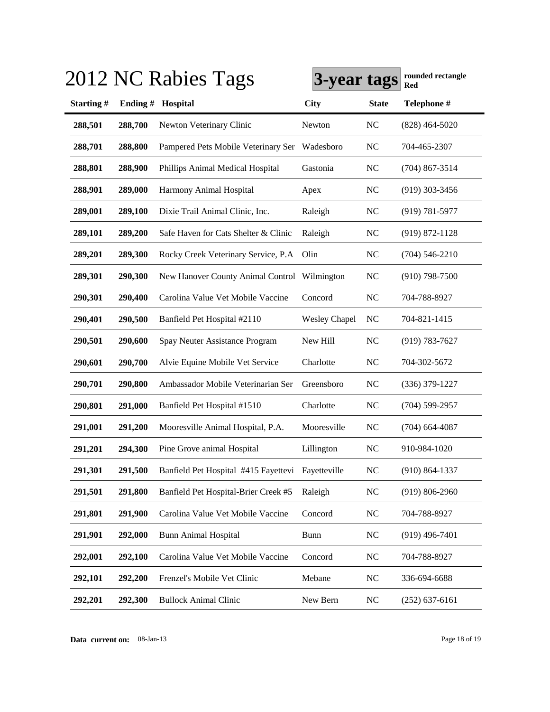|           |         | 2012 NC Rabies Tags                               | 3-year tags          |              | rounded rectangle<br>Red |
|-----------|---------|---------------------------------------------------|----------------------|--------------|--------------------------|
| Starting# | Ending# | Hospital                                          | <b>City</b>          | <b>State</b> | Telephone #              |
| 288,501   | 288,700 | Newton Veterinary Clinic                          | Newton               | <b>NC</b>    | $(828)$ 464-5020         |
| 288,701   | 288,800 | Pampered Pets Mobile Veterinary Ser               | Wadesboro            | <b>NC</b>    | 704-465-2307             |
| 288,801   | 288,900 | Phillips Animal Medical Hospital                  | Gastonia             | <b>NC</b>    | $(704)$ 867-3514         |
| 288,901   | 289,000 | Harmony Animal Hospital                           | Apex                 | <b>NC</b>    | $(919)$ 303-3456         |
| 289,001   | 289,100 | Dixie Trail Animal Clinic, Inc.                   | Raleigh              | NC           | $(919) 781 - 5977$       |
| 289,101   | 289,200 | Safe Haven for Cats Shelter & Clinic              | Raleigh              | NC           | $(919) 872 - 1128$       |
| 289,201   | 289,300 | Rocky Creek Veterinary Service, P.A               | Olin                 | NC           | $(704)$ 546-2210         |
| 289,301   | 290,300 | New Hanover County Animal Control                 | Wilmington           | <b>NC</b>    | $(910)$ 798-7500         |
| 290,301   | 290,400 | Carolina Value Vet Mobile Vaccine                 | Concord              | <b>NC</b>    | 704-788-8927             |
| 290,401   | 290,500 | Banfield Pet Hospital #2110                       | <b>Wesley Chapel</b> | <b>NC</b>    | 704-821-1415             |
| 290,501   | 290,600 | Spay Neuter Assistance Program                    | New Hill             | <b>NC</b>    | $(919) 783 - 7627$       |
| 290,601   | 290,700 | Alvie Equine Mobile Vet Service                   | Charlotte            | <b>NC</b>    | 704-302-5672             |
| 290,701   | 290,800 | Ambassador Mobile Veterinarian Ser                | Greensboro           | <b>NC</b>    | $(336)$ 379-1227         |
| 290,801   | 291,000 | Banfield Pet Hospital #1510                       | Charlotte            | <b>NC</b>    | $(704)$ 599-2957         |
| 291,001   | 291,200 | Mooresville Animal Hospital, P.A.                 | Mooresville          | <b>NC</b>    | $(704)$ 664-4087         |
| 291,201   | 294,300 | Pine Grove animal Hospital                        | Lillington           | <b>NC</b>    | 910-984-1020             |
| 291,301   | 291,500 | Banfield Pet Hospital #415 Fayettevi Fayetteville |                      | NC           | $(910) 864 - 1337$       |
| 291,501   | 291,800 | Banfield Pet Hospital-Brier Creek #5              | Raleigh              | <b>NC</b>    | $(919) 806 - 2960$       |
| 291,801   | 291,900 | Carolina Value Vet Mobile Vaccine                 | Concord              | <b>NC</b>    | 704-788-8927             |
| 291,901   | 292,000 | <b>Bunn Animal Hospital</b>                       | <b>Bunn</b>          | <b>NC</b>    | $(919)$ 496-7401         |
| 292,001   | 292,100 | Carolina Value Vet Mobile Vaccine                 | Concord              | <b>NC</b>    | 704-788-8927             |
| 292,101   | 292,200 | Frenzel's Mobile Vet Clinic                       | Mebane               | <b>NC</b>    | 336-694-6688             |
| 292,201   | 292,300 | <b>Bullock Animal Clinic</b>                      | New Bern             | <b>NC</b>    | $(252)$ 637-6161         |